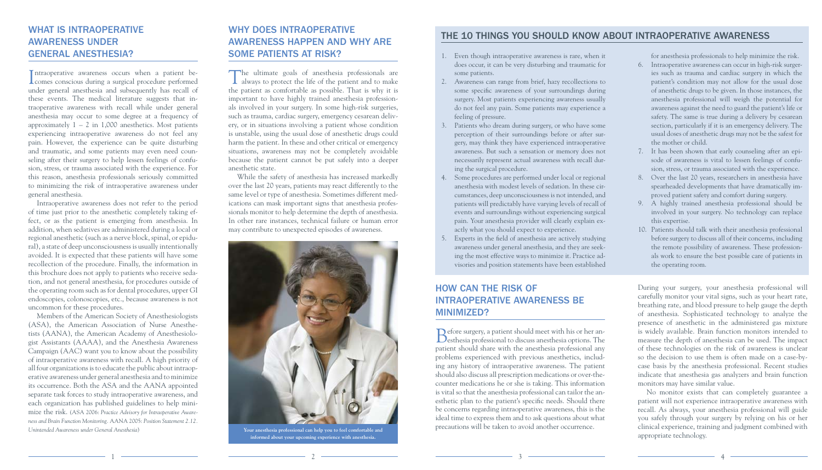#### WHAT IS INTRAOPERATIVE AWARENESS UNDER GENERAL ANESTHESIA?

Intraoperative awareness occurs when a patient be-<br>comes conscious during a surgical procedure performed ntraoperative awareness occurs when a patient beunder general anesthesia and subsequently has recall of these events. The medical literature suggests that intraoperative awareness with recall while under general anesthesia may occur to some degree at a frequency of approximately  $1 - 2$  in 1,000 anesthetics. Most patients experiencing intraoperative awareness do not feel any pain. However, the experience can be quite disturbing and traumatic, and some patients may even need counseling after their surgery to help lessen feelings of confusion, stress, or trauma associated with the experience. For this reason, anesthesia professionals seriously committed to minimizing the risk of intraoperative awareness under general anesthesia.

Intraoperative awareness does not refer to the period of time just prior to the anesthetic completely taking effect, or as the patient is emerging from anesthesia. In addition, when sedatives are administered during a local or regional anesthetic (such as a nerve block, spinal, or epidural), a state of deep unconsciousness is usually intentionally avoided. It is expected that these patients will have some recollection of the procedure. Finally, the information in this brochure does not apply to patients who receive sedation, and not general anesthesia, for procedures outside of the operating room such as for dental procedures, upper GI endoscopies, colonoscopies, etc., because awareness is not uncommon for these procedures.

Members of the American Society of Anesthesiologists (ASA), the American Association of Nurse Anesthetists (AANA), the American Academy of Anesthesiologist Assistants (AAAA), and the Anesthesia Awareness Campaign (AAC) want you to know about the possibility of intraoperative awareness with recall. A high priority of all four organizations is to educate the public about intraoperative awareness under general anesthesia and to minimize its occurrence. Both the ASA and the AANA appointed separate task forces to study intraoperative awareness, and each organization has published guidelines to help minimize the risk. (ASA 2006: *Practice Advisory for Intraoperative Awareness and Brain Function Monitoring.* AANA 2005: *Position Statement 2.12. Unintended Awareness under General Anesthesia*)

#### WHY DOES INTRAOPERATIVE AWARENESS HAPPEN AND WHY ARE SOME PATIENTS AT RISK?

The ultimate goals of anesthesia professionals are always to protect the life of the patient and to make the patient as comfortable as possible. That is why it is important to have highly trained anesthesia professionals involved in your surgery. In some high-risk surgeries, such as trauma, cardiac surgery, emergency cesarean delivery, or in situations involving a patient whose condition is unstable, using the usual dose of anesthetic drugs could harm the patient. In these and other critical or emergency situations, awareness may not be completely avoidable because the patient cannot be put safely into a deeper anesthetic state.

While the safety of anesthesia has increased markedly over the last 20 years, patients may react differently to the same level or type of anesthesia. Sometimes different medications can mask important signs that anesthesia professionals monitor to help determine the depth of anesthesia. In other rare instances, technical failure or human error may contribute to unexpected episodes of awareness.

### HOW CAN THE RISK OF INTRAOPERATIVE AWARENESS BE MINIMIZED?

Before surgery, a patient should meet with his or her an-esthesia professional to discuss anesthesia options. The patient should share with the anesthesia professional any problems experienced with previous anesthetics, including any history of intraoperative awareness. The patient should also discuss all prescription medications or over-thecounter medications he or she is taking. This information is vital so that the anesthesia professional can tailor the anesthetic plan to the patient's specific needs. Should there be concerns regarding intraoperative awareness, this is the ideal time to express them and to ask questions about what precautions will be taken to avoid another occurrence.

During your surgery, your anesthesia professional will carefully monitor your vital signs, such as your heart rate, breathing rate, and blood pressure to help gauge the depth of anesthesia. Sophisticated technology to analyze the presence of anesthetic in the administered gas mixture is widely available. Brain function monitors intended to measure the depth of anesthesia can be used. The impact of these technologies on the risk of awareness is unclear so the decision to use them is often made on a case-bycase basis by the anesthesia professional. Recent studies indicate that anesthesia gas analyzers and brain function monitors may have similar value.

No monitor exists that can completely guarantee a patient will not experience intraoperative awareness with recall. As always, your anesthesia professional will guide you safely through your surgery by relying on his or her clinical experience, training and judgment combined with appropriate technology.

- 1. Even though intraoperative awareness is rare, when it does occur, it can be very disturbing and traumatic for some patients.
- 2. Awareness can range from brief, hazy recollections to some specific awareness of your surroundings during surgery. Most patients experiencing awareness usually do not feel any pain. Some patients may experience a feeling of pressure.
- 3. Patients who dream during surgery, or who have some perception of their surroundings before or after surgery, may think they have experienced intraoperative awareness. But such a sensation or memory does not necessarily represent actual awareness with recall during the surgical procedure.
- 4. Some procedures are performed under local or regional anesthesia with modest levels of sedation. In these circumstances, deep unconsciousness is not intended, and patients will predictably have varying levels of recall of events and surroundings without experiencing surgical pain. Your anesthesia provider will clearly explain exactly what you should expect to experience.
- 5. Experts in the field of anesthesia are actively studying awareness under general anesthesia, and they are seeking the most effective ways to minimize it. Practice advisories and position statements have been established

for anesthesia professionals to help minimize the risk.

6. Intraoperative awareness can occur in high-risk surgeries such as trauma and cardiac surgery in which the patient's condition may not allow for the usual dose of anesthetic drugs to be given. In those instances, the anesthesia professional will weigh the potential for awareness against the need to guard the patient's life or safety. The same is true during a delivery by cesarean section, particularly if it is an emergency delivery. The usual doses of anesthetic drugs may not be the safest for the mother or child.

7. It has been shown that early counseling after an episode of awareness is vital to lessen feelings of confusion, stress, or trauma associated with the experience.

8. Over the last 20 years, researchers in anesthesia have spearheaded developments that have dramatically improved patient safety and comfort during surgery.

9. A highly trained anesthesia professional should be involved in your surgery. No technology can replace this expertise.

10. Patients should talk with their anesthesia professional before surgery to discuss all of their concerns, including the remote possibility of awareness. These professionals work to ensure the best possible care of patients in the operating room.

#### THE 10 THINGS YOU SHOULD KNOW ABOUT INTRAOPERATIVE AWARENESS



**Your anesthesia professional can help you to feel comfortable and informed about your upcoming experience with anesthesia.**